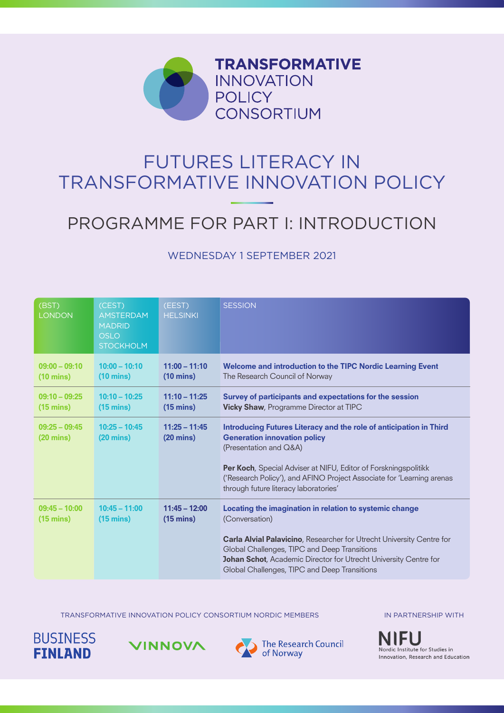

# FUTURES LITERACY IN TRANSFORMATIVE INNOVATION POLICY

# PROGRAMME FOR PART I: INTRODUCTION

#### WEDNESDAY 1 SEPTEMBER 2021

| (BST)<br><b>LONDON</b>                 | (CEST)<br><b>AMSTERDAM</b><br><b>MADRID</b><br><b>OSLO</b><br><b>STOCKHOLM</b> | (EEST)<br><b>HELSINKI</b>              | <b>SESSION</b>                                                                                                                                                                                                                                                                                                                       |
|----------------------------------------|--------------------------------------------------------------------------------|----------------------------------------|--------------------------------------------------------------------------------------------------------------------------------------------------------------------------------------------------------------------------------------------------------------------------------------------------------------------------------------|
| $09:00 - 09:10$<br>$(10 \text{ mins})$ | $10:00 - 10:10$<br>$(10 \text{ mins})$                                         | $11:00 - 11:10$<br>$(10 \text{ mins})$ | Welcome and introduction to the TIPC Nordic Learning Event<br>The Research Council of Norway                                                                                                                                                                                                                                         |
| $09:10 - 09:25$<br>$(15 \text{ mins})$ | $10:10 - 10:25$<br>$(15 \text{ mins})$                                         | $11:10 - 11:25$<br>$(15 \text{ mins})$ | Survey of participants and expectations for the session<br>Vicky Shaw, Programme Director at TIPC                                                                                                                                                                                                                                    |
| $09:25 - 09:45$<br>$(20 \text{ mins})$ | $10:25 - 10:45$<br>$(20 \text{ mins})$                                         | $11:25 - 11:45$<br>$(20 \text{ mins})$ | Introducing Futures Literacy and the role of anticipation in Third<br><b>Generation innovation policy</b><br>(Presentation and Q&A)<br>Per Koch, Special Adviser at NIFU, Editor of Forskningspolitikk<br>('Research Policy'), and AFINO Project Associate for 'Learning arenas<br>through future literacy laboratories'             |
| $09:45 - 10:00$<br>$(15 \text{ mins})$ | $10:45 - 11:00$<br>$(15 \text{ mins})$                                         | $11:45 - 12:00$<br>$(15 \text{ mins})$ | Locating the imagination in relation to systemic change<br>(Conversation)<br><b>Carla Alvial Palavicino, Researcher for Utrecht University Centre for</b><br>Global Challenges, TIPC and Deep Transitions<br><b>Johan Schot, Academic Director for Utrecht University Centre for</b><br>Global Challenges, TIPC and Deep Transitions |

TRANSFORMATIVE INNOVATION POLICY CONSORTIUM NORDIC MEMBERS





The Research Council of Norway

IN PARTNERSHIP WITH

**NIFU** Nordic Institute for Studies in Innovation, Research and Education